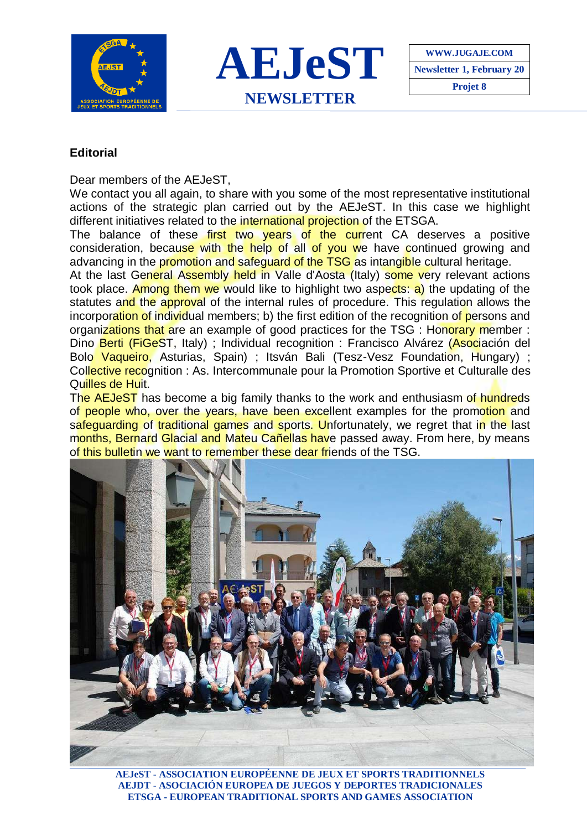



## **Editorial**

Dear members of the AFJeST.

We contact you all again, to share with you some of the most representative institutional actions of the strategic plan carried out by the AEJeST. In this case we highlight different initiatives related to the international projection of the ETSGA.

The balance of these first two vears of the current CA deserves a positive consideration, because with the help of all of you we have continued growing and advancing in the promotion and safeguard of the TSG as intangible cultural heritage.

At the last General Assembly held in Valle d'Aosta (Italy) some very relevant actions took place. Among them we would like to highlight two aspects: a) the updating of the statutes and the approval of the internal rules of procedure. This regulation allows the incorporation of individual members; b) the first edition of the recognition of persons and organizations that are an example of good practices for the TSG : Honorary member : Dino Berti (FiGeST, Italy) ; Individual recognition : Francisco Alvárez (Asociación del Bolo Vaqueiro, Asturias, Spain) ; Itsván Bali (Tesz-Vesz Foundation, Hungary) ; Collective recognition : As. Intercommunale pour la Promotion Sportive et Culturalle des Quilles de Huit.

The AEJeST has become a big family thanks to the work and enthusiasm of hundreds of people who, over the years, have been excellent examples for the promotion and safeguarding of traditional games and sports. Unfortunately, we regret that in the last months, Bernard Glacial and Mateu Cañellas have passed away. From here, by means of this bulletin we want to remember these dear friends of the TSG.



**AEJeST - ASSOCIATION EUROPÉENNE DE JEUX ET SPORTS TRADITIONNELS AEJDT - ASOCIACIÓN EUROPEA DE JUEGOS Y DEPORTES TRADICIONALES ETSGA - EUROPEAN TRADITIONAL SPORTS AND GAMES ASSOCIATION**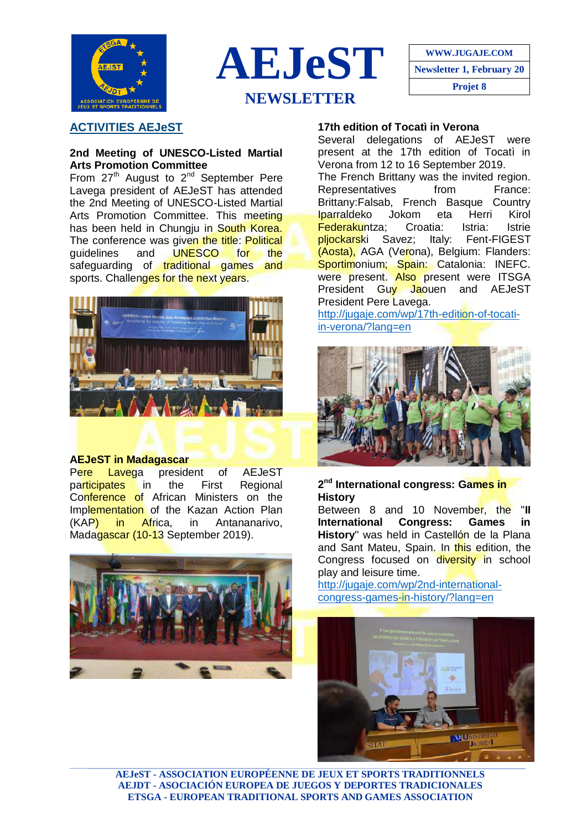



**WWW.JUGAJE.COM Newsletter 1, February 20 Projet 8**

# **ACTIVITIES AEJeST**

#### **2nd Meeting of UNESCO-Listed Martial Arts Promotion Committee**

From  $27<sup>th</sup>$  August to  $2<sup>nd</sup>$  September Pere Lavega president of AEJeST has attended the 2nd Meeting of UNESCO-Listed Martial Arts Promotion Committee. This meeting has been held in Chungju in South Korea. The conference was given the title: Political guidelines and UNESCO for the safeguarding of traditional games and sports. Challenges for the next years.



#### **AEJeST in Madagascar**

P<mark>ere Laveg</mark>a president of AEJeST<br>pa<mark>rticipates</mark> in the First Regional participates in the First Regional Conference of African Ministers on the Implementation of the Kazan Action Plan (KAP) in Africa, in Antananarivo, Madagascar (10-13 September 2019).



### **17th edition of Tocatì in Verona**

Several delegations of AEJeST were present at the 17th edition of Tocatì in Verona from 12 to 16 September 2019.

The French Brittany was the invited region. Representatives from France: Brittany:Falsab, French Basque Country Iparraldeko Jokom eta Herri Kirol Federakuntza: Croatia: Istria: Istrie pljockarski Savez; Italy: Fent-FIGEST (Aosta), AGA (Verona), Belgium: Flanders: Sportimonium; Spain: Catalonia: INEFC. were present. Also present were ITSGA President Guy Jaouen and AEJeST President Pere Lavega.

[http://jugaje.com/wp/17th-edition-of-tocati](http://jugaje.com/wp/17th-edition-of-tocati-in-verona/?lang=en)[in-verona/?lang=en](http://jugaje.com/wp/17th-edition-of-tocati-in-verona/?lang=en)



**2 nd International congress: Games in History**

Between 8 and 10 November, the "**II International Congress: Games in History**" was held in Castellón de la Plana and Sant Mateu, Spain. In this edition, the Congress focused on diversity in school play and leisure time.

[http://jugaje.com/wp/2nd-international](http://jugaje.com/wp/2nd-international-congress-games-in-history/?lang=en)[congress-games-in-history/?lang=en](http://jugaje.com/wp/2nd-international-congress-games-in-history/?lang=en)



**AEJeST - ASSOCIATION EUROPÉENNE DE JEUX ET SPORTS TRADITIONNELS AEJDT - ASOCIACIÓN EUROPEA DE JUEGOS Y DEPORTES TRADICIONALES ETSGA - EUROPEAN TRADITIONAL SPORTS AND GAMES ASSOCIATION**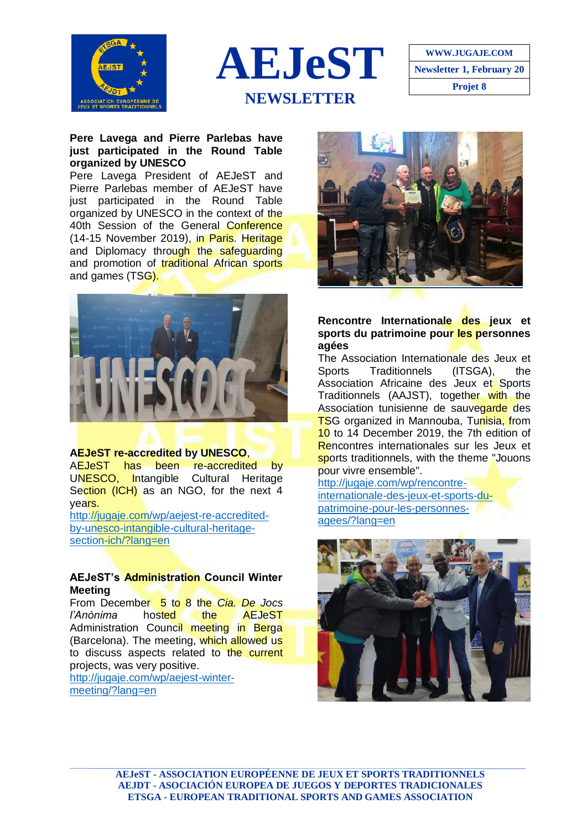





#### **Pere Lavega and Pierre Parlebas have just participated in the Round Table organized by UNESCO**

Pere Lavega President of AEJeST and Pierre Parlebas member of AEJeST have just participated in the Round Table organized by UNESCO in the context of the 40th Session of the General Conference (14-15 November 2019), in Paris. Heritage and Diplomacy through the safeguarding and promotion of traditional African sports and games (TSG).



#### **AEJeST re-accredited by UNESCO**,

AEJeST has been re-accredited by UNESCO, Intangible Cultural Heritage Section (ICH) as an NGO, for the next 4 years.

[http://jugaje.com/wp/aejest-re-accredited](http://jugaje.com/wp/aejest-re-accredited-by-unesco-intangible-cultural-heritage-section-ich/?lang=en)[by-unesco-intangible-cultural-heritage](http://jugaje.com/wp/aejest-re-accredited-by-unesco-intangible-cultural-heritage-section-ich/?lang=en)[section-ich/?lang=en](http://jugaje.com/wp/aejest-re-accredited-by-unesco-intangible-cultural-heritage-section-ich/?lang=en)

#### **AEJeST's Administration Council Winter Meeting**

From December 5 to 8 the *Cia. De Jocs l'Anònima* hosted the AEJeST Administration Council meeting in Berga (Barcelona). The meeting, which allowed us to discuss aspects related to the current projects, was very positive. [http://jugaje.com/wp/aejest-winter-](http://jugaje.com/wp/aejest-winter-meeting/?lang=en)

[meeting/?lang=en](http://jugaje.com/wp/aejest-winter-meeting/?lang=en)



#### **Rencontre Internationale des jeux et sports du patrimoine pour les personnes agées**

The Association Internationale des Jeux et Sports Traditionnels (ITSGA), the Association Africaine des Jeux et Sports Traditionnels (AAJST), together with the Association tunisienne de sauvegarde des TSG organized in Mannouba, Tunisia, from 10 to 14 December 2019, the 7th edition of Rencontres internationales sur les Jeux et sports traditionnels, with the theme "Jouons pour vivre ensemble".

[http://jugaje.com/wp/rencontre](http://jugaje.com/wp/rencontre-internationale-des-jeux-et-sports-du-patrimoine-pour-les-personnes-agees/?lang=en)[internationale-des-jeux-et-sports-du](http://jugaje.com/wp/rencontre-internationale-des-jeux-et-sports-du-patrimoine-pour-les-personnes-agees/?lang=en)[patrimoine-pour-les-personnes](http://jugaje.com/wp/rencontre-internationale-des-jeux-et-sports-du-patrimoine-pour-les-personnes-agees/?lang=en)[agees/?lang=en](http://jugaje.com/wp/rencontre-internationale-des-jeux-et-sports-du-patrimoine-pour-les-personnes-agees/?lang=en)